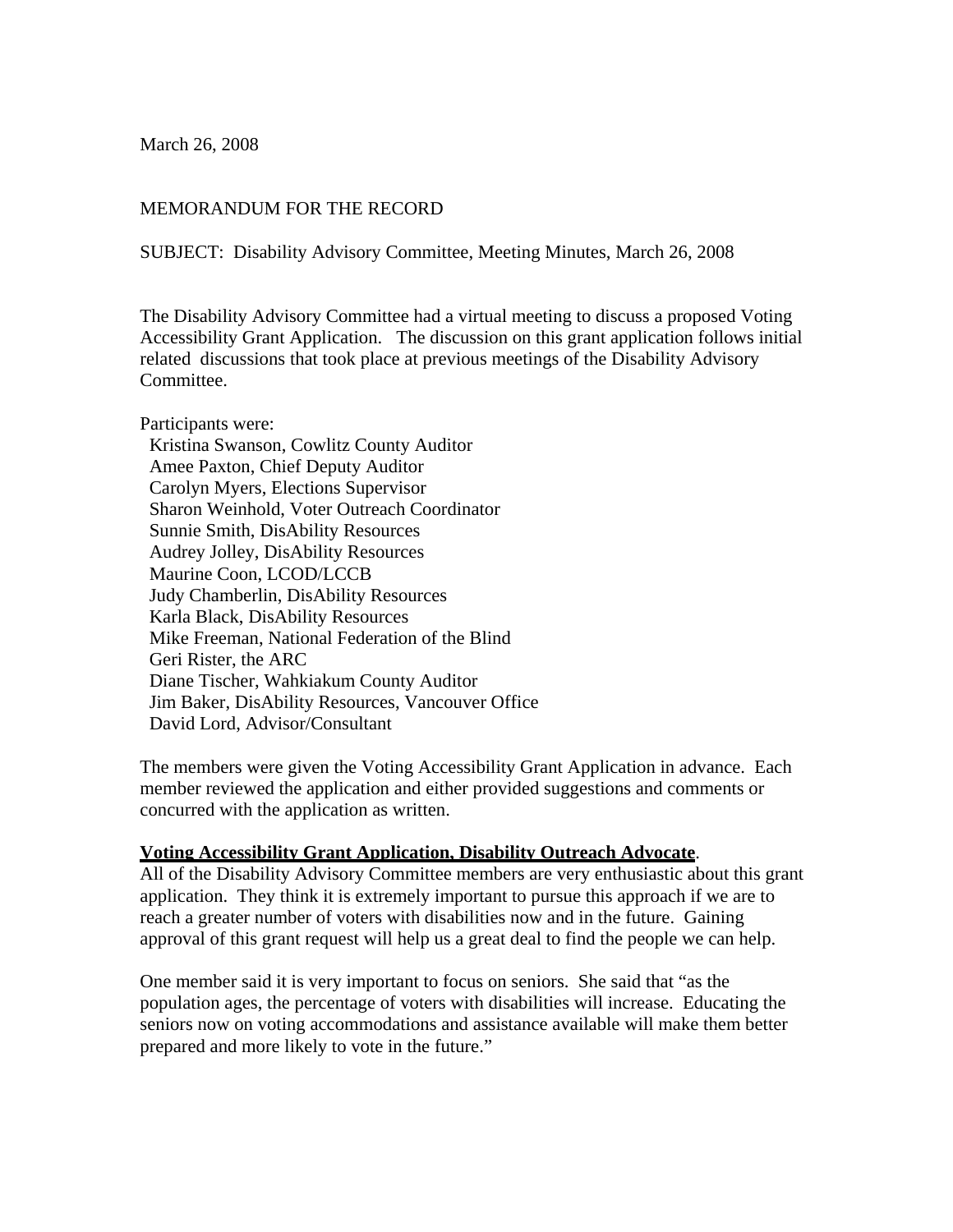March 26, 2008

## MEMORANDUM FOR THE RECORD

SUBJECT: Disability Advisory Committee, Meeting Minutes, March 26, 2008

The Disability Advisory Committee had a virtual meeting to discuss a proposed Voting Accessibility Grant Application. The discussion on this grant application follows initial related discussions that took place at previous meetings of the Disability Advisory Committee.

Participants were:

 Kristina Swanson, Cowlitz County Auditor Amee Paxton, Chief Deputy Auditor Carolyn Myers, Elections Supervisor Sharon Weinhold, Voter Outreach Coordinator Sunnie Smith, DisAbility Resources Audrey Jolley, DisAbility Resources Maurine Coon, LCOD/LCCB Judy Chamberlin, DisAbility Resources Karla Black, DisAbility Resources Mike Freeman, National Federation of the Blind Geri Rister, the ARC Diane Tischer, Wahkiakum County Auditor Jim Baker, DisAbility Resources, Vancouver Office David Lord, Advisor/Consultant

The members were given the Voting Accessibility Grant Application in advance. Each member reviewed the application and either provided suggestions and comments or concurred with the application as written.

## **Voting Accessibility Grant Application, Disability Outreach Advocate**.

All of the Disability Advisory Committee members are very enthusiastic about this grant application. They think it is extremely important to pursue this approach if we are to reach a greater number of voters with disabilities now and in the future. Gaining approval of this grant request will help us a great deal to find the people we can help.

One member said it is very important to focus on seniors. She said that "as the population ages, the percentage of voters with disabilities will increase. Educating the seniors now on voting accommodations and assistance available will make them better prepared and more likely to vote in the future."